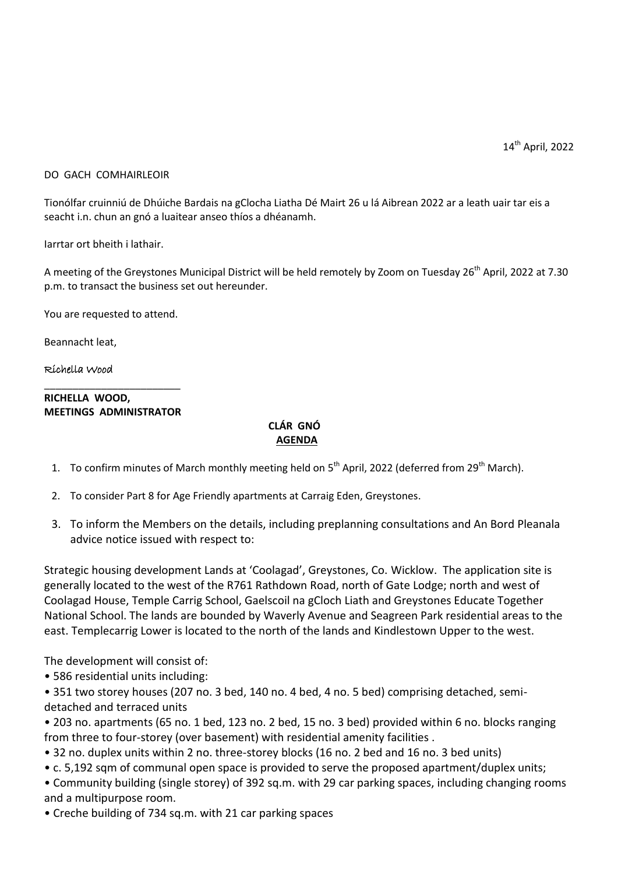14<sup>th</sup> April, 2022

## DO GACH COMHAIRLEOIR

Tionólfar cruinniú de Dhúiche Bardais na gClocha Liatha Dé Mairt 26 u lá Aibrean 2022 ar a leath uair tar eis a seacht i.n. chun an gnó a luaitear anseo thíos a dhéanamh.

Iarrtar ort bheith i lathair.

A meeting of the Greystones Municipal District will be held remotely by Zoom on Tuesday 26<sup>th</sup> April, 2022 at 7.30 p.m. to transact the business set out hereunder.

You are requested to attend.

Beannacht leat,

## Richella Wood

## \_\_\_\_\_\_\_\_\_\_\_\_\_\_\_\_\_\_\_\_\_\_\_\_ **RICHELLA WOOD, MEETINGS ADMINISTRATOR**

## **CLÁR GNÓ AGENDA**

- 1. To confirm minutes of March monthly meeting held on 5<sup>th</sup> April, 2022 (deferred from 29<sup>th</sup> March).
- 2. To consider Part 8 for Age Friendly apartments at Carraig Eden, Greystones.
- 3. To inform the Members on the details, including preplanning consultations and An Bord Pleanala advice notice issued with respect to:

Strategic housing development Lands at 'Coolagad', Greystones, Co. Wicklow. The application site is generally located to the west of the R761 Rathdown Road, north of Gate Lodge; north and west of Coolagad House, Temple Carrig School, Gaelscoil na gCloch Liath and Greystones Educate Together National School. The lands are bounded by Waverly Avenue and Seagreen Park residential areas to the east. Templecarrig Lower is located to the north of the lands and Kindlestown Upper to the west.

The development will consist of:

• 586 residential units including:

• 351 two storey houses (207 no. 3 bed, 140 no. 4 bed, 4 no. 5 bed) comprising detached, semidetached and terraced units

• 203 no. apartments (65 no. 1 bed, 123 no. 2 bed, 15 no. 3 bed) provided within 6 no. blocks ranging from three to four-storey (over basement) with residential amenity facilities .

- 32 no. duplex units within 2 no. three-storey blocks (16 no. 2 bed and 16 no. 3 bed units)
- c. 5,192 sqm of communal open space is provided to serve the proposed apartment/duplex units;

• Community building (single storey) of 392 sq.m. with 29 car parking spaces, including changing rooms and a multipurpose room.

• Creche building of 734 sq.m. with 21 car parking spaces